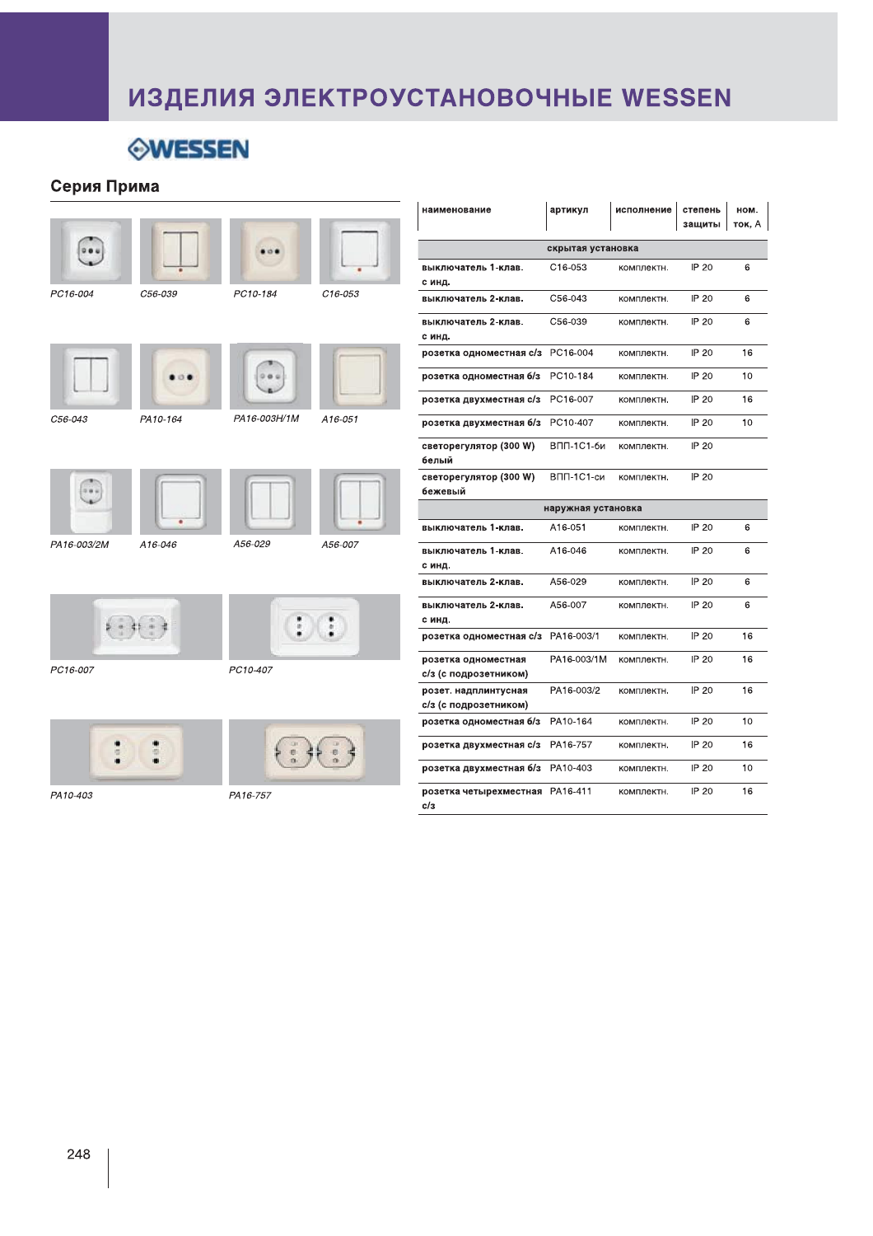# ИЗДЕЛИЯ ЭЛЕКТРОУСТАНОВОЧНЫЕ WESSEN



### Серия Прима

|                      |          |              |             | наименование                             |
|----------------------|----------|--------------|-------------|------------------------------------------|
|                      |          |              |             | выключатель 1<br>с инд.                  |
| <sup>2</sup> C16-004 | C56-039  | PC10-184     | $C16 - 053$ | выключатель 2                            |
|                      |          |              |             | выключатель 2<br>с инд.                  |
|                      |          |              |             | розетка одном                            |
|                      |          |              |             | розетка одном                            |
|                      |          |              |             | розетка двухм                            |
| 256-043              | PA10-164 | PA16-003H/1M | A16-051     | розетка двухм                            |
|                      |          |              |             | светорегулято<br>белый                   |
|                      |          |              |             | светорегулято<br>бежевый                 |
|                      |          |              |             | выключатель 1                            |
| 2A16-003/2M          | A16-046  | A56-029      | A56-007     | выключатель 1<br>с инд.                  |
|                      |          |              |             | выключатель 2                            |
|                      |          |              | $:$ :       | выключатель 2<br>с инд.<br>розетка одном |
|                      |          |              |             | розетка одном                            |
| C16-007              |          | PC10-407     |             | с/з (с подрозет                          |
|                      |          |              |             | розет. надплин<br>с/з (с подрозет        |
|                      |          |              |             | розетка одном                            |
|                      |          |              |             | розетка двухм                            |
|                      |          |              |             | розетка двухм                            |
|                      |          |              |             |                                          |

|                                               |                     |            | защиты   ток, А |    |  |
|-----------------------------------------------|---------------------|------------|-----------------|----|--|
| скрытая установка                             |                     |            |                 |    |  |
| выключатель 1-клав.                           | C <sub>16-053</sub> | комплектн. | IP 20           | 6  |  |
| с инд.                                        |                     |            |                 |    |  |
| выключатель 2-клав.                           | C56-043             | комплектн. | IP 20           | 6  |  |
| выключатель 2-клав.                           | C56-039             | комплектн. | IP 20           | 6  |  |
| с инд.                                        |                     |            |                 |    |  |
| розетка одноместная с/з                       | PC16-004            | комплектн. | IP 20           | 16 |  |
| розетка одноместная б/з                       | PC10-184            | комплектн. | IP 20           | 10 |  |
| розетка двухместная с/з                       | PC16-007            | комплектн. | IP 20           | 16 |  |
| розетка двухместная б/з                       | PC10-407            | комплектн. | IP 20           | 10 |  |
| светорегулятор (300 W)<br>белый               | ВПП-1С1-би          | комплектн. | IP 20           |    |  |
| светорегулятор (300 W)<br>бежевый             | BПП-1C1-си          | комплектн. | IP 20           |    |  |
|                                               | наружная установка  |            |                 |    |  |
| выключатель 1-клав.                           | A16-051             | комплектн. | IP 20           | 6  |  |
| выключатель 1-клав.<br>с инд.                 | A16-046             | комплектн. | IP 20           | 6  |  |
| выключатель 2-клав.                           | A56-029             | комплектн. | IP 20           | 6  |  |
| выключатель 2-клав.<br>с инд.                 | A56-007             | комплектн. | IP 20           | 6  |  |
| розетка одноместная с/з                       | PA16-003/1          | комплектн. | IP 20           | 16 |  |
| розетка одноместная<br>с/з (с подрозетником)  | PA16-003/1M         | комплектн. | IP 20           | 16 |  |
| розет. надплинтусная<br>с/з (с подрозетником) | PA16-003/2          | комплектн. | IP 20           | 16 |  |
| розетка одноместная б/з                       | PA10-164            | комплектн. | IP 20           | 10 |  |
| розетка двухместная с/з                       | PA16-757            | комплектн. | IP 20           | 16 |  |
| розетка двухместная б/з                       | PA10-403            | комплектн. | IP 20           | 10 |  |
| розетка четырехместная<br>c/з                 | PA16-411            | комплектн. | IP 20           | 16 |  |

артикул

 $\vert$  исполнение  $\vert$  степень  $\vert$  ном.  $\vert$ 

PA10-403

PA16-757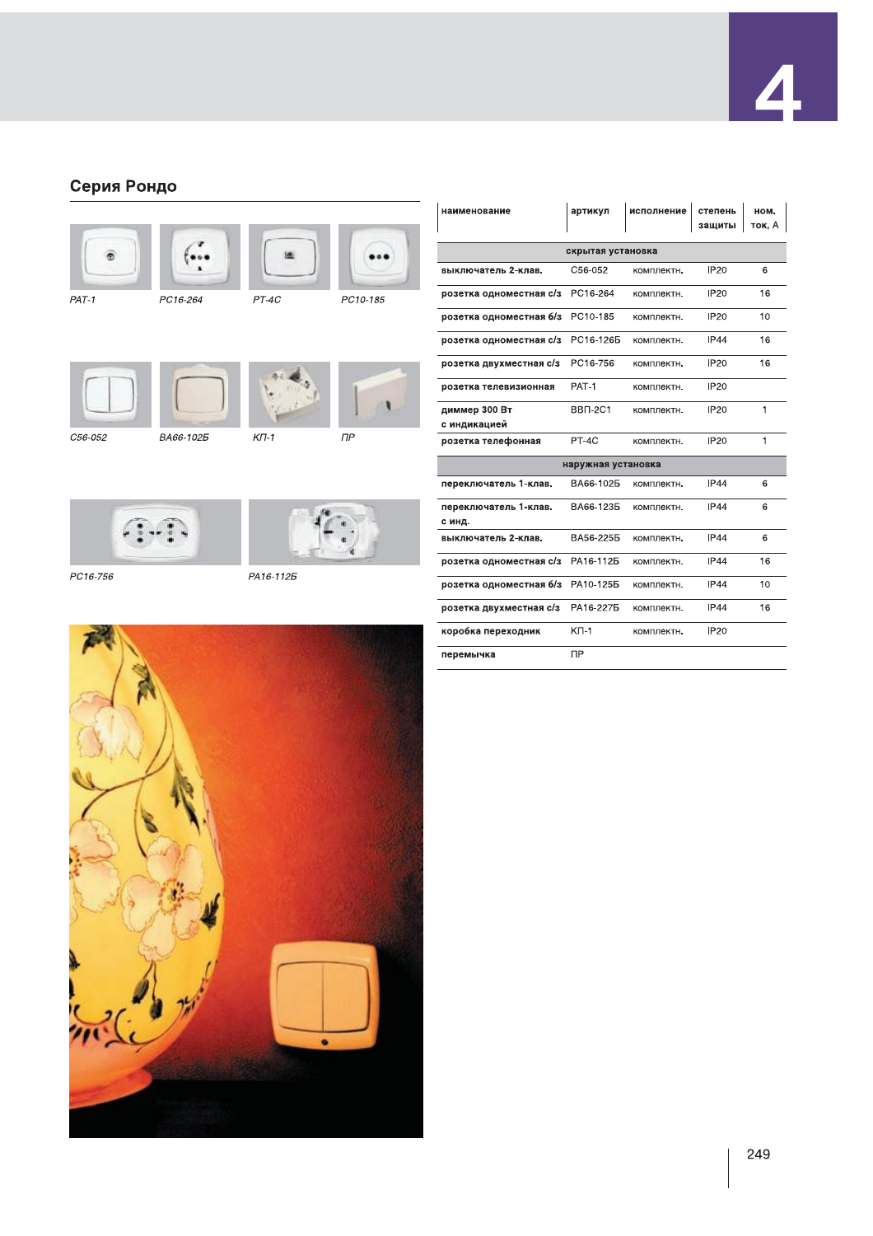### Серия Рондо









 $\bigcirc$  .

PC16-756 PA16-1125



| наименование                    | артикул            | исполнение | степень<br>защиты | ном.<br>ток, А |
|---------------------------------|--------------------|------------|-------------------|----------------|
|                                 | скрытая установка  |            |                   |                |
| выключатель 2-клав.             | C56-052            | комплектн. | <b>IP20</b>       | 6              |
| розетка одноместная с/з         | PC16-264           | комплектн. | <b>IP20</b>       | 16             |
| розетка одноместная б/з         | PC10-185           | комплектн. | <b>IP20</b>       | 10             |
| розетка одноместная с/з         | PC16-1265          | комплектн. | <b>IP44</b>       | 16             |
| розетка двухместная с/з         | PC16-756           | комплектн. | <b>IP20</b>       | 16             |
| розетка телевизионная           | PAT-1              | комплектн. | <b>IP20</b>       |                |
| диммер 300 Вт<br>с индикацией   | BBN-2C1            | комплектн. | <b>IP20</b>       | 1              |
| розетка телефонная              | PT-4C              | комплектн. | <b>IP20</b>       | $\mathbf{1}$   |
|                                 | наружная установка |            |                   |                |
| переключатель 1-клав.           | BA66-1025          | комплектн. | <b>IP44</b>       | 6              |
| переключатель 1-клав.<br>с инд. | BA66-1235          | комплектн. | <b>IP44</b>       | 6              |
| выключатель 2-клав.             | BA56-2255          | комплектн. | <b>IP44</b>       | 6              |
| розетка одноместная с/з         | PA16-1125          | комплектн. | <b>IP44</b>       | 16             |
| розетка одноместная б/з         | PA10-1255          | комплектн. | <b>IP44</b>       | 10             |
| розетка двухместная с/з         | PA16-2275          | комплектн. | <b>IP44</b>       | 16             |
| коробка переходник              | $K\Pi-1$           | комплектн. | <b>IP20</b>       |                |
| перемычка                       | <b>NP</b>          |            |                   |                |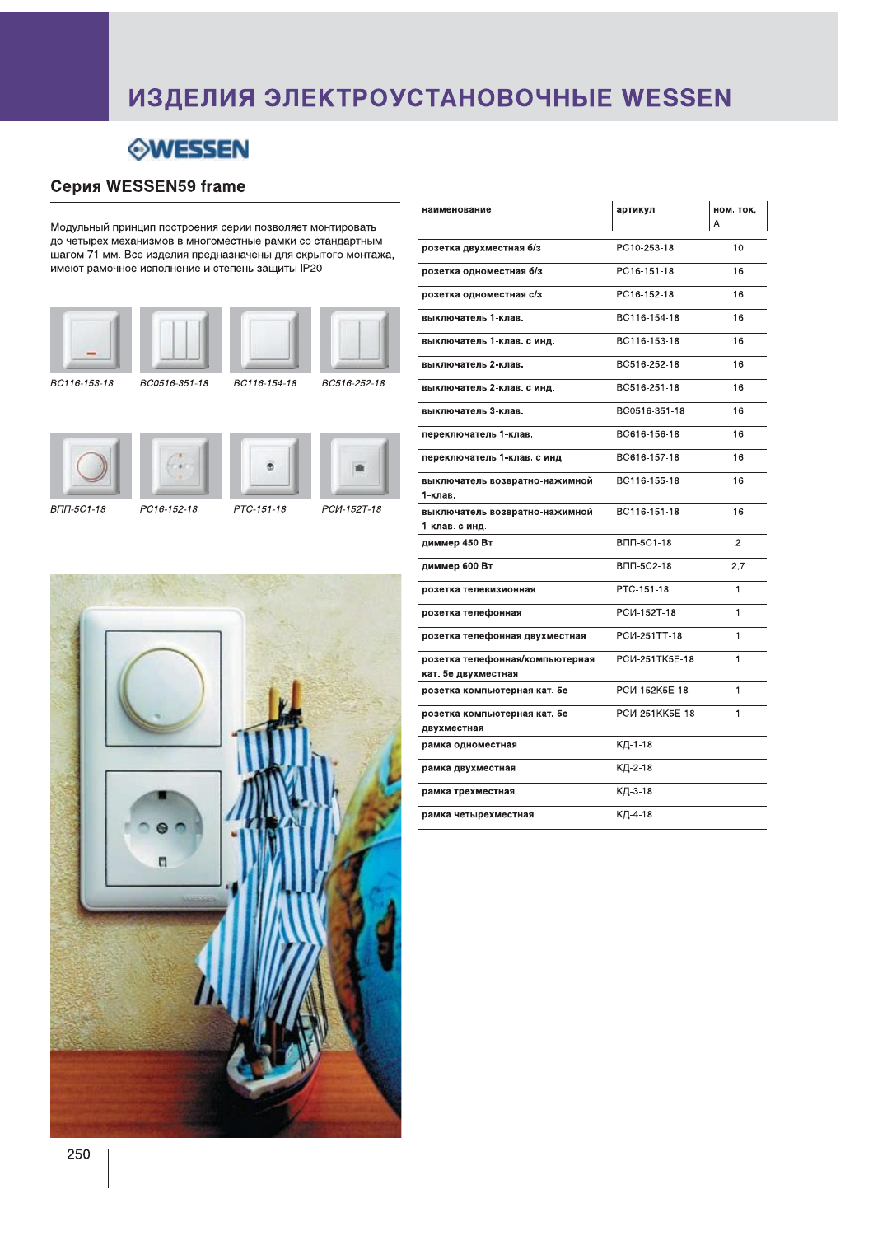## ИЗДЕЛИЯ ЭЛЕКТРОУСТАНОВОЧНЫЕ WESSEN

ń

### **WESSEN**

### **Серия WESSEN59 frame**

Модульный принцип построения серии позволяет монтировать до четырех механизмов в многоместные рамки со стандартным шагом 71 мм. Все изделия предназначены для скрытого монтажа, имеют рамочное исполнение и степень защиты IP20.









PCM-152T-18



PC16-152-18

PTC-151-18



| наименование                                           | артикул         | ном. ток,    |
|--------------------------------------------------------|-----------------|--------------|
| розетка двухместная б/з                                | PC10-253-18     | 10           |
| розетка одноместная б/з                                | PC16-151-18     | 16           |
| розетка одноместная с/з                                | PC16-152-18     | 16           |
| выключатель 1-клав.                                    | BC116-154-18    | 16           |
| выключатель 1-клав. с инд.                             | BC116-153-18    | 16           |
| выключатель 2-клав.                                    | BC516-252-18    | 16           |
| выключатель 2-клав. с инд.                             | BC516-251-18    | 16           |
| выключатель 3-клав.                                    | BC0516-351-18   | 16           |
| переключатель 1-клав.                                  | BC616-156-18    | 16           |
| переключатель 1-клав. с инд.                           | BC616-157-18    | 16           |
| выключатель возвратно-нажимной<br>1-клав.              | BC116-155-18    | 16           |
| выключатель возвратно-нажимной<br>1-клав. с инд.       | BC116-151-18    | 16           |
| диммер 450 Вт                                          | ВПП-5С1-18      | $\mathbf{2}$ |
| диммер 600 Вт                                          | ВПП-5С2-18      | 2,7          |
| розетка телевизионная                                  | PTC-151-18      | $\mathbf{1}$ |
| розетка телефонная                                     | PCM-152T-18     | 1            |
| розетка телефонная двухместная                         | PCM-251TT-18    | 1            |
| розетка телефонная/компьютерная<br>кат. 5е двухместная | PCI/-251TK5E-18 | 1            |
| розетка компьютерная кат. 5е                           | РСИ-152К5Е-18   | 1            |
| розетка компьютерная кат. 5е<br>двухместная            | РСИ-251КК5Е-18  | 1            |
| рамка одноместная                                      | КД-1-18         |              |
| рамка двухместная                                      | КД-2-18         |              |
| рамка трехместная                                      | КД-3-18         |              |
| рамка четырехместная                                   | КД-4-18         |              |